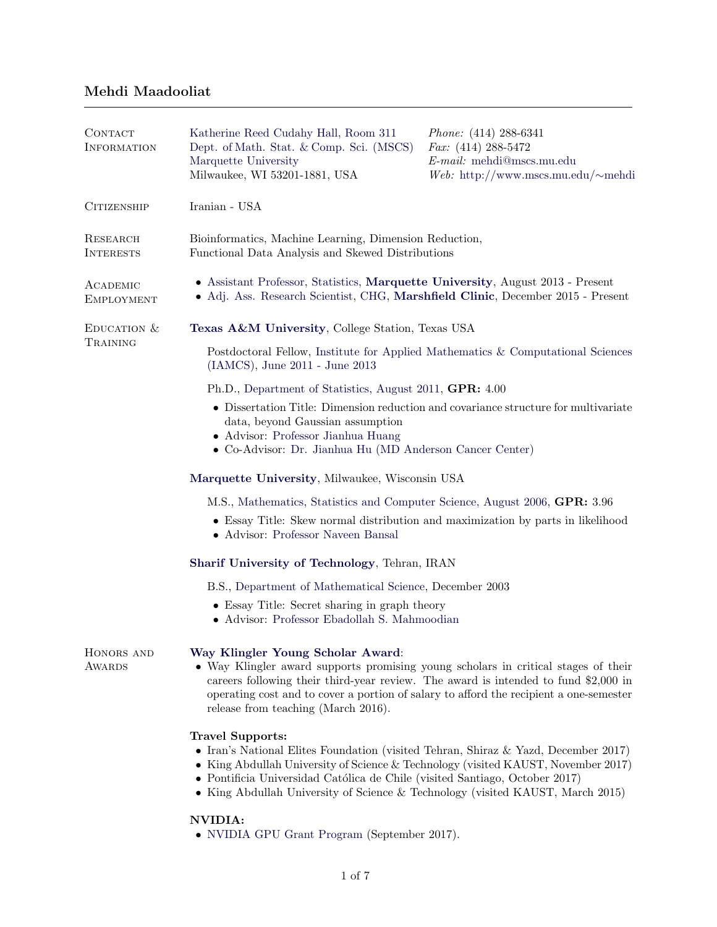## Mehdi Maadooliat

| CONTACT<br><b>INFORMATION</b> | Katherine Reed Cudahy Hall, Room 311<br>Dept. of Math. Stat. & Comp. Sci. (MSCS)<br>Marquette University<br>Milwaukee, WI 53201-1881, USA                                                                                                                                                                                                                           | <i>Phone:</i> $(414)$ 288-6341<br>Fax: $(414)$ 288-5472<br>E-mail: mehdi@mscs.mu.edu<br>Web: http://www.mscs.mu.edu/ $\sim$ mehdi |  |
|-------------------------------|---------------------------------------------------------------------------------------------------------------------------------------------------------------------------------------------------------------------------------------------------------------------------------------------------------------------------------------------------------------------|-----------------------------------------------------------------------------------------------------------------------------------|--|
| <b>CITIZENSHIP</b>            | Iranian - USA                                                                                                                                                                                                                                                                                                                                                       |                                                                                                                                   |  |
| RESEARCH<br><b>INTERESTS</b>  | Bioinformatics, Machine Learning, Dimension Reduction,<br>Functional Data Analysis and Skewed Distributions                                                                                                                                                                                                                                                         |                                                                                                                                   |  |
| ACADEMIC<br><b>EMPLOYMENT</b> | • Assistant Professor, Statistics, Marquette University, August 2013 - Present<br>• Adj. Ass. Research Scientist, CHG, Marshfield Clinic, December 2015 - Present                                                                                                                                                                                                   |                                                                                                                                   |  |
| EDUCATION $&$<br>TRAINING     | Texas A&M University, College Station, Texas USA                                                                                                                                                                                                                                                                                                                    |                                                                                                                                   |  |
|                               | Postdoctoral Fellow, Institute for Applied Mathematics & Computational Sciences<br>(IAMCS), June 2011 - June 2013                                                                                                                                                                                                                                                   |                                                                                                                                   |  |
|                               | Ph.D., Department of Statistics, August 2011, GPR: 4.00                                                                                                                                                                                                                                                                                                             |                                                                                                                                   |  |
|                               | • Dissertation Title: Dimension reduction and covariance structure for multivariate<br>data, beyond Gaussian assumption<br>• Advisor: Professor Jianhua Huang<br>• Co-Advisor: Dr. Jianhua Hu (MD Anderson Cancer Center)                                                                                                                                           |                                                                                                                                   |  |
|                               | Marquette University, Milwaukee, Wisconsin USA                                                                                                                                                                                                                                                                                                                      |                                                                                                                                   |  |
|                               | M.S., Mathematics, Statistics and Computer Science, August 2006, GPR: 3.96                                                                                                                                                                                                                                                                                          |                                                                                                                                   |  |
|                               | • Essay Title: Skew normal distribution and maximization by parts in likelihood<br>• Advisor: Professor Naveen Bansal                                                                                                                                                                                                                                               |                                                                                                                                   |  |
|                               | Sharif University of Technology, Tehran, IRAN                                                                                                                                                                                                                                                                                                                       |                                                                                                                                   |  |
|                               | B.S., Department of Mathematical Science, December 2003                                                                                                                                                                                                                                                                                                             |                                                                                                                                   |  |
|                               | • Essay Title: Secret sharing in graph theory<br>• Advisor: Professor Ebadollah S. Mahmoodian                                                                                                                                                                                                                                                                       |                                                                                                                                   |  |
| HONORS AND<br><b>AWARDS</b>   | Way Klingler Young Scholar Award:<br>• Way Klingler award supports promising young scholars in critical stages of their<br>careers following their third-year review. The award is intended to fund \$2,000 in<br>operating cost and to cover a portion of salary to afford the recipient a one-semester<br>release from teaching (March 2016).                     |                                                                                                                                   |  |
|                               | <b>Travel Supports:</b><br>• Iran's National Elites Foundation (visited Tehran, Shiraz & Yazd, December 2017)<br>• King Abdullah University of Science & Technology (visited KAUST, November 2017)<br>• Pontificia Universidad Católica de Chile (visited Santiago, October 2017)<br>• King Abdullah University of Science & Technology (visited KAUST, March 2015) |                                                                                                                                   |  |
|                               | <b>NVIDIA:</b>                                                                                                                                                                                                                                                                                                                                                      |                                                                                                                                   |  |

• [NVIDIA GPU Grant Program](https://developer.nvidia.com/academic_gpu_seeding) (September 2017).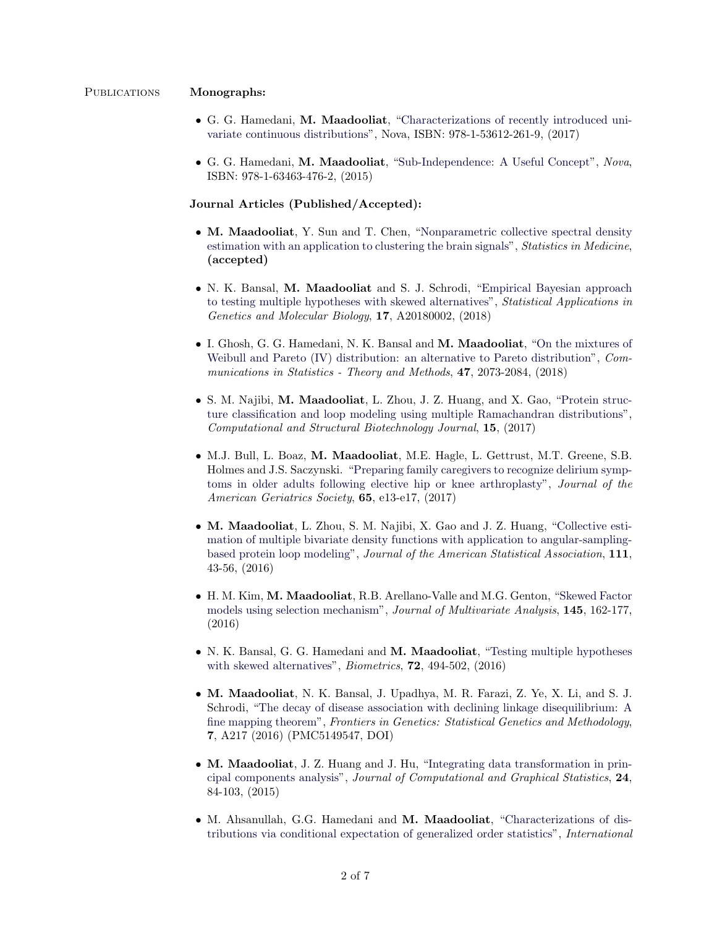### PUBLICATIONS Monographs:

- G. G. Hamedani, M. Maadooliat, ["Characterizations of recently introduced uni](https://www.novapublishers.com/catalog/product_info.php?products_id=62689)[variate continuous distributions"](https://www.novapublishers.com/catalog/product_info.php?products_id=62689), Nova, ISBN: 978-1-53612-261-9, (2017)
- G. G. Hamedani, M. Maadooliat, ["Sub-Independence: A Useful Concept"](https://www.novapublishers.com/catalog/product_info.php?products_id=52452), Nova, ISBN: 978-1-63463-476-2, (2015)

### Journal Articles (Published/Accepted):

- M. Maadooliat, Y. Sun and T. Chen, ["Nonparametric collective spectral density](http://dx.doi.org/10.1002/sim.7972) [estimation with an application to clustering the brain signals"](http://dx.doi.org/10.1002/sim.7972), *Statistics in Medicine*, (accepted)
- N. K. Bansal, M. Maadooliat and S. J. Schrodi, ["Empirical Bayesian approach](https://doi.org/10.1515/sagmb-2018-0002) [to testing multiple hypotheses with skewed alternatives"](https://doi.org/10.1515/sagmb-2018-0002), Statistical Applications in Genetics and Molecular Biology, 17, A20180002, (2018)
- I. Ghosh, G. G. Hamedani, N. K. Bansal and M. Maadooliat, ["On the mixtures of](https://doi.org/10.1080/03610926.2016.1171353) [Weibull and Pareto \(IV\) distribution: an alternative to Pareto distribution"](https://doi.org/10.1080/03610926.2016.1171353), Communications in Statistics - Theory and Methods, 47, 2073-2084, (2018)
- S. M. Najibi, M. Maadooliat, L. Zhou, J. Z. Huang, and X. Gao, ["Protein struc](http://dx.doi.org/10.1016/j.csbj.2017.01.011)[ture classification and loop modeling using multiple Ramachandran distributions"](http://dx.doi.org/10.1016/j.csbj.2017.01.011), Computational and Structural Biotechnology Journal, 15, (2017)
- M.J. Bull, L. Boaz, M. Maadooliat, M.E. Hagle, L. Gettrust, M.T. Greene, S.B. Holmes and J.S. Saczynski. ["Preparing family caregivers to recognize delirium symp](http://dx.doi.org/10.1111/jgs.14535)[toms in older adults following elective hip or knee arthroplasty"](http://dx.doi.org/10.1111/jgs.14535), Journal of the American Geriatrics Society, 65, e13-e17, (2017)
- M. Maadooliat, L. Zhou, S. M. Najibi, X. Gao and J. Z. Huang, ["Collective esti](http://dx.doi.org/10.1080/01621459.2015.1099535)[mation of multiple bivariate density functions with application to angular-sampling](http://dx.doi.org/10.1080/01621459.2015.1099535)[based protein loop modeling"](http://dx.doi.org/10.1080/01621459.2015.1099535), Journal of the American Statistical Association, 111, 43-56, (2016)
- H. M. Kim, M. Maadooliat, R.B. Arellano-Valle and M.G. Genton, ["Skewed Factor](http://dx.doi.org/10.1016/j.jmva.2015.12.007) [models using selection mechanism"](http://dx.doi.org/10.1016/j.jmva.2015.12.007), Journal of Multivariate Analysis, 145, 162-177, (2016)
- N. K. Bansal, G. G. Hamedani and M. Maadooliat, ["Testing multiple hypotheses](http://dx.doi.org/10.1111/biom.12430) [with skewed alternatives"](http://dx.doi.org/10.1111/biom.12430), *Biometrics*, **72**, 494-502, (2016)
- M. Maadooliat, N. K. Bansal, J. Upadhya, M. R. Farazi, Z. Ye, X. Li, and S. J. Schrodi, ["The decay of disease association with declining linkage disequilibrium: A](http://dx.doi.org/10.3389/fgene.2016.00217) [fine mapping theorem"](http://dx.doi.org/10.3389/fgene.2016.00217), Frontiers in Genetics: Statistical Genetics and Methodology, 7, A217 (2016) (PMC5149547, DOI)
- M. Maadooliat, J. Z. Huang and J. Hu, ["Integrating data transformation in prin](http://dx.doi.org/10.1080/10618600.2014.891461)[cipal components analysis"](http://dx.doi.org/10.1080/10618600.2014.891461), Journal of Computational and Graphical Statistics, 24, 84-103, (2015)
- M. Ahsanullah, G.G. Hamedani and M. Maadooliat, ["Characterizations of dis](http://dx.doi.org/10.5539/ijsp.v4n3p121)[tributions via conditional expectation of generalized order statistics"](http://dx.doi.org/10.5539/ijsp.v4n3p121), International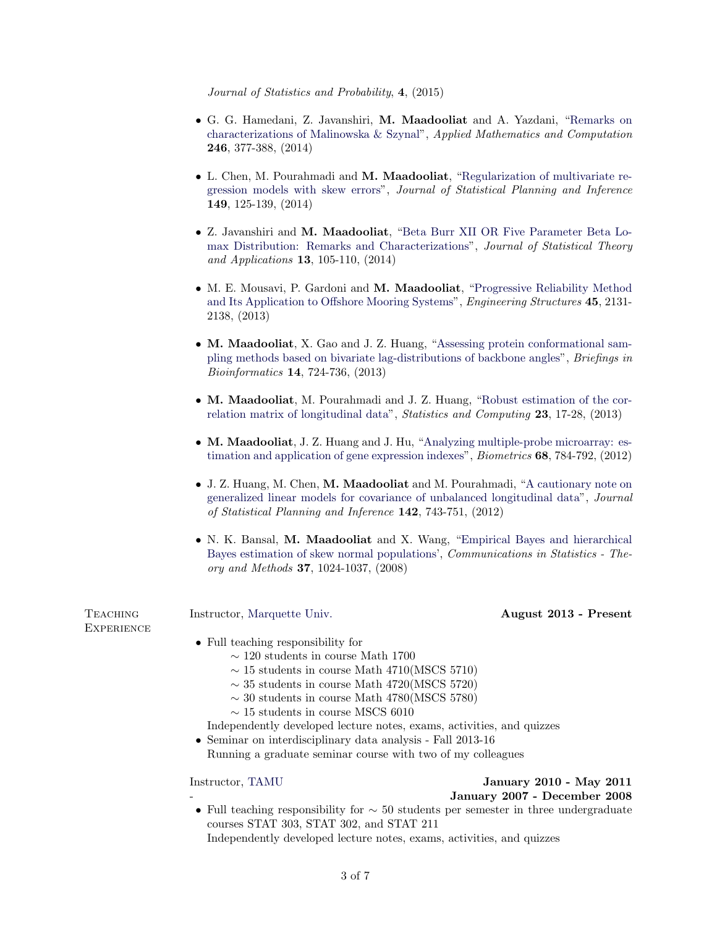Journal of Statistics and Probability, 4, (2015)

- G. G. Hamedani, Z. Javanshiri, M. Maadooliat and A. Yazdani, ["Remarks on](http://dx.doi.org/10.1016/j.amc.2014.08.030) [characterizations of Malinowska & Szynal"](http://dx.doi.org/10.1016/j.amc.2014.08.030), Applied Mathematics and Computation 246, 377-388, (2014)
- L. Chen, M. Pourahmadi and M. Maadooliat, ["Regularization of multivariate re](http://dx.doi.org/10.1016/j.jspi.2014.02.001)[gression models with skew errors"](http://dx.doi.org/10.1016/j.jspi.2014.02.001), Journal of Statistical Planning and Inference 149, 125-139, (2014)
- Z. Javanshiri and M. Maadooliat, ["Beta Burr XII OR Five Parameter Beta Lo](http://dx.doi.org/10.2991/jsta.2014.13.2.1)[max Distribution: Remarks and Characterizations"](http://dx.doi.org/10.2991/jsta.2014.13.2.1), Journal of Statistical Theory and Applications 13, 105-110, (2014)
- M. E. Mousavi, P. Gardoni and M. Maadooliat, ["Progressive Reliability Method](http://dx.doi.org/10.1016/j.engstruct.2013.08.016) [and Its Application to Offshore Mooring Systems"](http://dx.doi.org/10.1016/j.engstruct.2013.08.016), *Engineering Structures* 45, 2131-2138, (2013)
- M. Maadooliat, X. Gao and J. Z. Huang, ["Assessing protein conformational sam](http://dx.doi.org/10.1093/bib/bbs052)[pling methods based on bivariate lag-distributions of backbone angles"](http://dx.doi.org/10.1093/bib/bbs052), Briefings in Bioinformatics 14, 724-736, (2013)
- M. Maadooliat, M. Pourahmadi and J. Z. Huang, ["Robust estimation of the cor](http://dx.doi.org/10.1007/s11222-011-9284-6)[relation matrix of longitudinal data"](http://dx.doi.org/10.1007/s11222-011-9284-6), Statistics and Computing 23, 17-28, (2013)
- M. Maadooliat, J. Z. Huang and J. Hu, ["Analyzing multiple-probe microarray: es](http://dx.doi.org/10.1111/j.1541-0420.2012.01727.x)[timation and application of gene expression indexes"](http://dx.doi.org/10.1111/j.1541-0420.2012.01727.x), *Biometrics* 68, 784-792, (2012)
- J. Z. Huang, M. Chen, M. Maadooliat and M. Pourahmadi, ["A cautionary note on](http://dx.doi.org/10.1016/j.jspi.2011.09.011) [generalized linear models for covariance of unbalanced longitudinal data"](http://dx.doi.org/10.1016/j.jspi.2011.09.011), Journal of Statistical Planning and Inference 142, 743-751, (2012)
- N. K. Bansal, M. Maadooliat and X. Wang, ["Empirical Bayes and hierarchical](http://dx.doi.org/10.1080/03610920701713195) [Bayes estimation of skew normal populations'](http://dx.doi.org/10.1080/03610920701713195), Communications in Statistics - Theory and Methods 37, 1024-1037, (2008)

**EXPERIENCE** 

### TEACHING Instructor, [Marquette Univ.](http://www.mscs.mu.edu/) August 2013 - Present

- Full teaching responsibility for
	- $∼$  120 students in course Math 1700
	- $\sim$  15 students in course Math 4710(MSCS 5710)
	- $\sim$  35 students in course Math 4720(MSCS 5720)
	- $\sim$  30 students in course Math 4780(MSCS 5780)
	- $∼ 15$  students in course MSCS 6010

Independently developed lecture notes, exams, activities, and quizzes

• Seminar on interdisciplinary data analysis - Fall 2013-16 Running a graduate seminar course with two of my colleagues

# Instructor, [TAMU](http://www.stat.tamu.edu/) January 2010 - May 2011

- January 2007 - December 2008

• Full teaching responsibility for  $\sim$  50 students per semester in three undergraduate courses STAT 303, STAT 302, and STAT 211 Independently developed lecture notes, exams, activities, and quizzes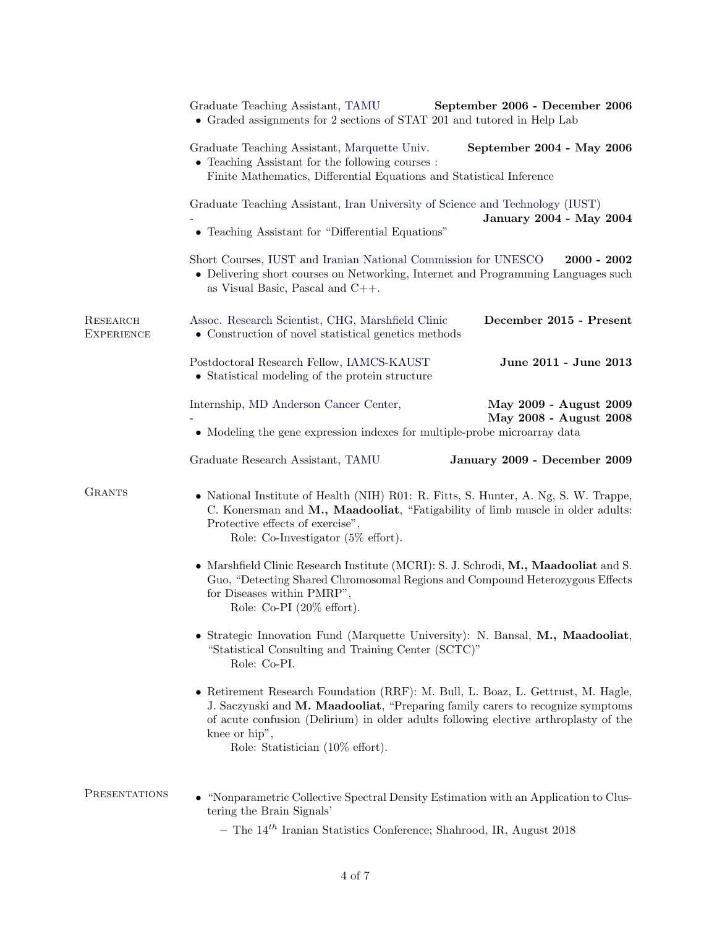|                               | Graduate Teaching Assistant, TAMU<br>September 2006 - December 2006<br>• Graded assignments for 2 sections of STAT 201 and tutored in Help Lab                                                                                                                                                                                                                                          |  |  |
|-------------------------------|-----------------------------------------------------------------------------------------------------------------------------------------------------------------------------------------------------------------------------------------------------------------------------------------------------------------------------------------------------------------------------------------|--|--|
|                               | Graduate Teaching Assistant, Marquette Univ.<br>September 2004 - May 2006<br>• Teaching Assistant for the following courses :<br>Finite Mathematics, Differential Equations and Statistical Inference                                                                                                                                                                                   |  |  |
|                               | Graduate Teaching Assistant, Iran University of Science and Technology (IUST)<br>January 2004 - May 2004                                                                                                                                                                                                                                                                                |  |  |
|                               | • Teaching Assistant for "Differential Equations"<br>Short Courses, IUST and Iranian National Commission for UNESCO<br>$2000 - 2002$<br>• Delivering short courses on Networking, Internet and Programming Languages such<br>as Visual Basic, Pascal and $C++$ .                                                                                                                        |  |  |
| RESEARCH<br><b>EXPERIENCE</b> | December 2015 - Present<br>Assoc. Research Scientist, CHG, Marshfield Clinic<br>• Construction of novel statistical genetics methods                                                                                                                                                                                                                                                    |  |  |
|                               | Postdoctoral Research Fellow, IAMCS-KAUST<br>June 2011 - June 2013<br>• Statistical modeling of the protein structure                                                                                                                                                                                                                                                                   |  |  |
|                               | Internship, MD Anderson Cancer Center,<br>May 2009 - August 2009<br>May 2008 - August 2008<br>• Modeling the gene expression indexes for multiple-probe microarray data                                                                                                                                                                                                                 |  |  |
|                               | Graduate Research Assistant, TAMU<br>January 2009 - December 2009                                                                                                                                                                                                                                                                                                                       |  |  |
| <b>GRANTS</b>                 | • National Institute of Health (NIH) R01: R. Fitts, S. Hunter, A. Ng, S. W. Trappe,<br>C. Konersman and M., Maadooliat, "Fatigability of limb muscle in older adults:<br>Protective effects of exercise",<br>Role: Co-Investigator $(5\% \text{ effort})$ .                                                                                                                             |  |  |
|                               | • Marshfield Clinic Research Institute (MCRI): S. J. Schrodi, M., Maadooliat and S.<br>Guo, "Detecting Shared Chromosomal Regions and Compound Heterozygous Effects<br>for Diseases within PMRP",<br>Role: Co-PI (20% effort).<br>• Strategic Innovation Fund (Marquette University): N. Bansal, M., Maadooliat,<br>"Statistical Consulting and Training Center (SCTC)"<br>Role: Co-PI. |  |  |
|                               |                                                                                                                                                                                                                                                                                                                                                                                         |  |  |
| PRESENTATIONS                 | "Nonparametric Collective Spectral Density Estimation with an Application to Clus-<br>tering the Brain Signals'                                                                                                                                                                                                                                                                         |  |  |

 $-$  The  $14^{th}$  Iranian Statistics Conference; Shahrood, IR, August 2018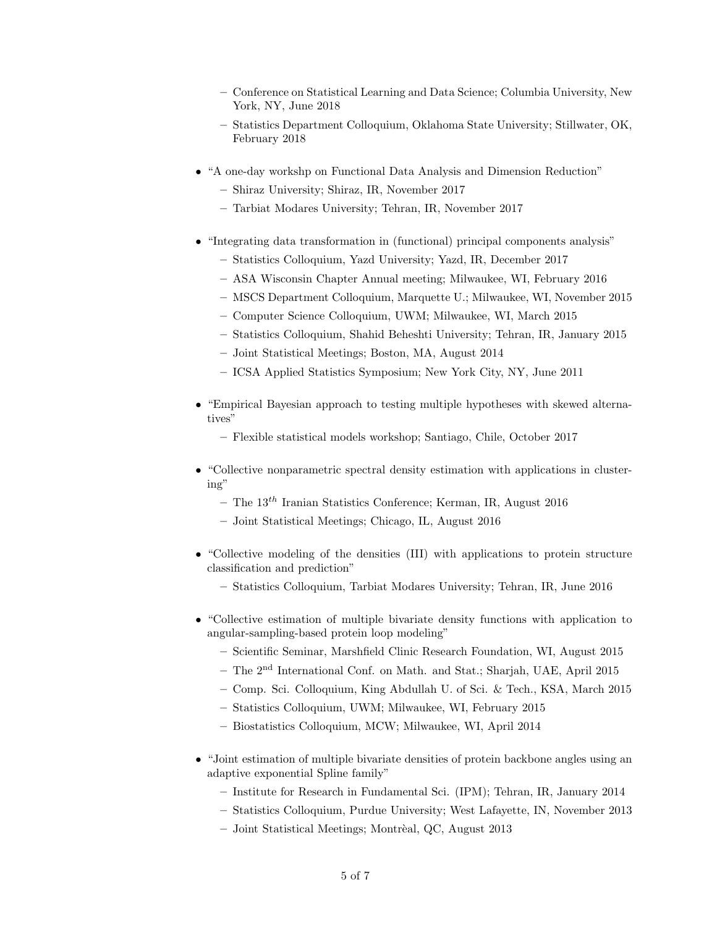- Conference on Statistical Learning and Data Science; Columbia University, New York, NY, June 2018
- Statistics Department Colloquium, Oklahoma State University; Stillwater, OK, February 2018
- "A one-day workshp on Functional Data Analysis and Dimension Reduction"
	- Shiraz University; Shiraz, IR, November 2017
	- Tarbiat Modares University; Tehran, IR, November 2017
- "Integrating data transformation in (functional) principal components analysis"
	- Statistics Colloquium, Yazd University; Yazd, IR, December 2017
	- ASA Wisconsin Chapter Annual meeting; Milwaukee, WI, February 2016
	- MSCS Department Colloquium, Marquette U.; Milwaukee, WI, November 2015
	- Computer Science Colloquium, UWM; Milwaukee, WI, March 2015
	- Statistics Colloquium, Shahid Beheshti University; Tehran, IR, January 2015
	- Joint Statistical Meetings; Boston, MA, August 2014
	- ICSA Applied Statistics Symposium; New York City, NY, June 2011
- "Empirical Bayesian approach to testing multiple hypotheses with skewed alternatives"
	- Flexible statistical models workshop; Santiago, Chile, October 2017
- "Collective nonparametric spectral density estimation with applications in clustering"
	- The  $13^{th}$  Iranian Statistics Conference; Kerman, IR, August 2016
	- Joint Statistical Meetings; Chicago, IL, August 2016
- "Collective modeling of the densities (III) with applications to protein structure classification and prediction"
	- Statistics Colloquium, Tarbiat Modares University; Tehran, IR, June 2016
- "Collective estimation of multiple bivariate density functions with application to angular-sampling-based protein loop modeling"
	- Scientific Seminar, Marshfield Clinic Research Foundation, WI, August 2015
	- The 2nd International Conf. on Math. and Stat.; Sharjah, UAE, April 2015
	- Comp. Sci. Colloquium, King Abdullah U. of Sci. & Tech., KSA, March 2015
	- Statistics Colloquium, UWM; Milwaukee, WI, February 2015
	- Biostatistics Colloquium, MCW; Milwaukee, WI, April 2014
- "Joint estimation of multiple bivariate densities of protein backbone angles using an adaptive exponential Spline family"
	- Institute for Research in Fundamental Sci. (IPM); Tehran, IR, January 2014
	- Statistics Colloquium, Purdue University; West Lafayette, IN, November 2013
	- Joint Statistical Meetings; Montrèal, QC, August 2013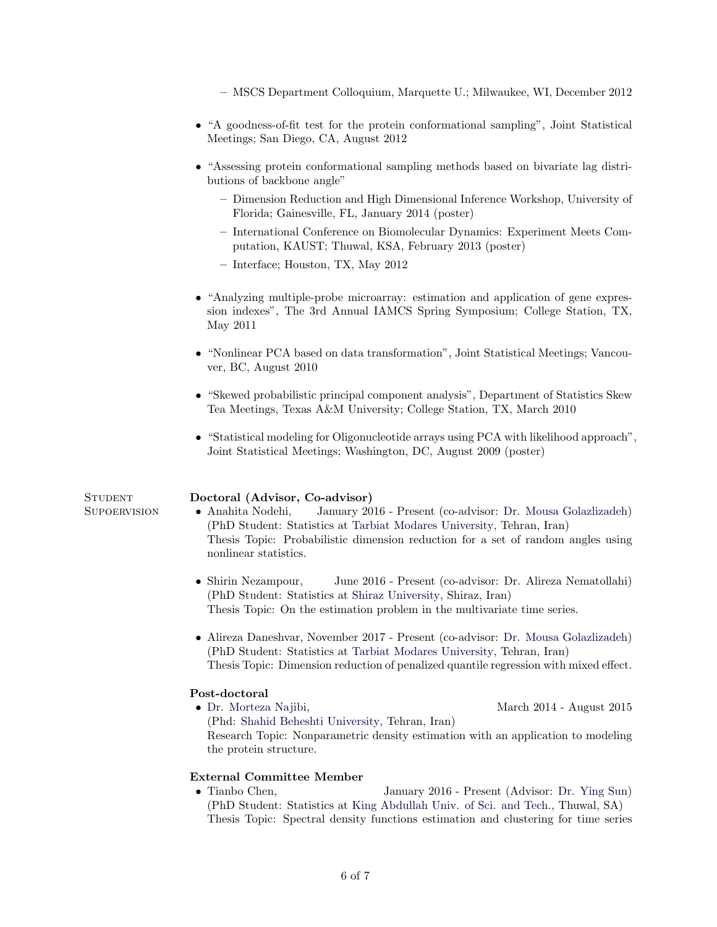– MSCS Department Colloquium, Marquette U.; Milwaukee, WI, December 2012

- "A goodness-of-fit test for the protein conformational sampling", Joint Statistical Meetings; San Diego, CA, August 2012
- "Assessing protein conformational sampling methods based on bivariate lag distributions of backbone angle"
	- Dimension Reduction and High Dimensional Inference Workshop, University of Florida; Gainesville, FL, January 2014 (poster)
	- International Conference on Biomolecular Dynamics: Experiment Meets Computation, KAUST; Thuwal, KSA, February 2013 (poster)
	- Interface; Houston, TX, May 2012
- "Analyzing multiple-probe microarray: estimation and application of gene expression indexes", The 3rd Annual IAMCS Spring Symposium; College Station, TX, May 2011
- "Nonlinear PCA based on data transformation", Joint Statistical Meetings; Vancouver, BC, August 2010
- "Skewed probabilistic principal component analysis", Department of Statistics Skew Tea Meetings, Texas A&M University; College Station, TX, March 2010
- "Statistical modeling for Oligonucleotide arrays using PCA with likelihood approach", Joint Statistical Meetings; Washington, DC, August 2009 (poster)

### STUDENT Doctoral (Advisor, Co-advisor)

- Supoervision Anahita Nodehi, January 2016 Present (co-advisor: [Dr. Mousa Golazlizadeh\)](http://www.modares.ac.ir/?&fkeyid=&siteid=86&pageid=7222) (PhD Student: Statistics at [Tarbiat Modares University,](http://www.modares.ac.ir/) Tehran, Iran) Thesis Topic: Probabilistic dimension reduction for a set of random angles using nonlinear statistics.
	- Shirin Nezampour, June 2016 Present (co-advisor: Dr. Alireza Nematollahi) (PhD Student: Statistics at [Shiraz University,](http://shirazu.ac.ir/en) Shiraz, Iran) Thesis Topic: On the estimation problem in the multivariate time series.
	- Alireza Daneshvar, November 2017 Present (co-advisor: [Dr. Mousa Golazlizadeh\)](http://www.modares.ac.ir/?&fkeyid=&siteid=86&pageid=7222) (PhD Student: Statistics at [Tarbiat Modares University,](http://www.modares.ac.ir/) Tehran, Iran) Thesis Topic: Dimension reduction of penalized quantile regression with mixed effect.

### Post-doctoral

• [Dr. Morteza Najibi,](http://smnajibi.ir/) March 2014 - August 2015 (Phd: [Shahid Beheshti University,](http://en.sbu.ac.ir/) Tehran, Iran) Research Topic: Nonparametric density estimation with an application to modeling the protein structure.

### External Committee Member

• Tianbo Chen, January 2016 - Present (Advisor: [Dr. Ying Sun\)](https://es.kaust.edu.sa/Pages/YingSun.aspx) (PhD Student: Statistics at [King Abdullah Univ. of Sci. and Tech.,](http://www.kaust.edu.sa/) Thuwal, SA) Thesis Topic: Spectral density functions estimation and clustering for time series